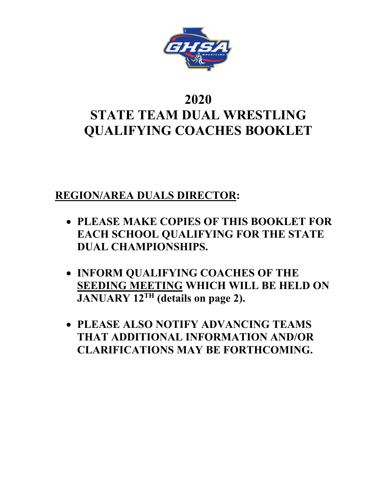

# **2020 STATE TEAM DUAL WRESTLING QUALIFYING COACHES BOOKLET**

### **REGION/AREA DUALS DIRECTOR:**

- **PLEASE MAKE COPIES OF THIS BOOKLET FOR EACH SCHOOL QUALIFYING FOR THE STATE DUAL CHAMPIONSHIPS.**
- **INFORM QUALIFYING COACHES OF THE SEEDING MEETING WHICH WILL BE HELD ON JANUARY 12TH (details on page 2).**
- **PLEASE ALSO NOTIFY ADVANCING TEAMS THAT ADDITIONAL INFORMATION AND/OR CLARIFICATIONS MAY BE FORTHCOMING.**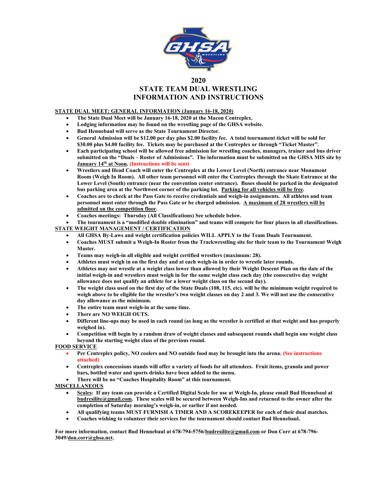

#### **2020 STATE TEAM DUAL WRESTLING INFORMATION AND INSTRUCTIONS**

#### **STATE DUAL MEET: GENERAL INFORMATION (January 16-18, 2020)**

- **The State Dual Meet will be January 16-18, 2020 at the Macon Centreplex.**
- **Lodging information may be found on the wrestling page of the GHSA website.**
- **Bud Hennebaul will serve as the State Tournament Director.**
- **General Admission will be \$12.00 per day plus \$2.00 facility fee. A total tournament ticket will be sold for \$30.00 plus \$4.00 facility fee. Tickets may be purchased at the Centreplex or through "Ticket Master".**
- **Each participating school will be allowed free admission for wrestling coaches, managers, trainer and bus driver submitted on the "Duals – Roster of Admissions". The information must be submitted on the GHSA MIS site by January 14th at Noon. (Instructions will be sent)**
- **Wrestlers and Head Coach will enter the Centreplex at the Lower Level (North) entrance near Monument Room (Weigh In Room). All other team personnel will enter the Centreplex through the Skate Entrance at the Lower Level (South) entrance (near the convention center entrance). Buses should be parked in the designated bus parking area at the Northwest corner of the parking lot. Parking for all vehicles will be free.**
- **Coaches are to check at the Pass Gate to receive credentials and weigh-in assignments. All athletes and team personnel must enter through the Pass Gate or be charged admission. A maximum of 28 wrestlers will be admitted on the competition floor.**
- **Coaches meetings: Thursday (All Classifications) See schedule below.**

• **The tournament is a "modified double elimination" and teams will compete for four places in all classifications. STATE WEIGHT MANAGEMENT / CERTIFICATION**

- **All GHSA By-Laws and weight certification policies WILL APPLY to the Team Duals Tournament.**
- **Coaches MUST submit a Weigh-In Roster from the Trackwrestling site for their team to the Tournament Weigh Master.**
- **Teams may weigh-in all eligible and weight certified wrestlers (maximum: 28).**
- **Athletes must weigh in on the first day and at each weigh-in in order to wrestle later rounds.**
- **Athletes may not wrestle at a weight class lower than allowed by their Weight Descent Plan on the date of the initial weigh-in and wrestlers must weigh in for the same weight class each day (the consecutive day weight allowance does not qualify an athlete for a lower weight class on the second day).**
- **The weight class used on the first day of the State Duals (108, 115, etc). will be the minimum weight required to weigh above to be eligible for the wrestler's two weight classes on day 2 and 3. We will not use the consecutive day allowance as the minimum.**
- **The entire team must weigh-in at the same time.**
- **There are NO WEIGH OUTS.**
- **Different line-ups may be used in each round (as long as the wrestler is certified at that weight and has properly weighed in).**
- **Competition will begin by a random draw of weight classes and subsequent rounds shall begin one weight class beyond the starting weight class of the previous round.**

#### **FOOD SERVICE**

- **Per Centreplex policy, NO coolers and NO outside food may be brought into the arena. (See instructions attached)**
- **Centreplex concessions stands will offer a variety of foods for all attendees. Fruit items, granola and power bars, bottled water and sports drinks have been added to the menu.**
- **There will be no "Coaches Hospitality Room" at this tournament.**

#### **MISCELLANEOUS**

- **Scales: If any team can provide a Certified Digital Scale for use at Weigh-In, please email Bud Hennebaul at [budresilite@gmail.com.](mailto:budresilite@gmail.com) These scales will be secured between Weigh-Ins and returned to the owner after the completion of Saturday morning's weigh-in, or earlier if not needed.**
- **All qualifying teams MUST FURNISH A TIMER AND A SCOREKEEPER for each of their dual matches.**
- **Coaches wishing to volunteer their services for the tournament should contact Bud Hennebaul.**

**For more information, contact Bud Hennebaul at 678-794-5756[/budresilite@gmail.com](mailto:budresilite@gmail.com) or Don Corr at 678-796- 3049/don.corr@ghsa.net.**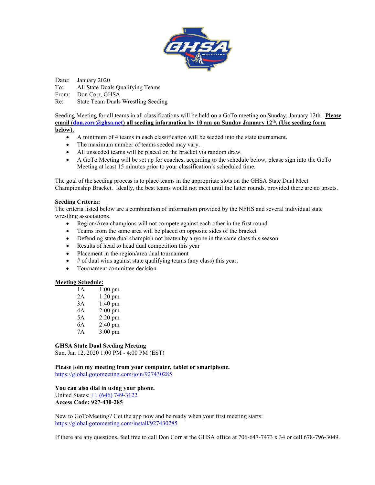

Date: January 2020 To: All State Duals Qualifying Teams From: Don Corr, GHSA Re: State Team Duals Wrestling Seeding

Seeding Meeting for all teams in all classifications will be held on a GoTo meeting on Sunday, January 12th. **Please email [\(don.corr@ghsa.net\)](mailto:don.corr@ghsa.net) all seeding information by 10 am on Sunday January 12th. (Use seeding form below).** 

- A minimum of 4 teams in each classification will be seeded into the state tournament.
- The maximum number of teams seeded may vary.
- All unseeded teams will be placed on the bracket via random draw.
- A GoTo Meeting will be set up for coaches, according to the schedule below, please sign into the GoTo Meeting at least 15 minutes prior to your classification's scheduled time.

The goal of the seeding process is to place teams in the appropriate slots on the GHSA State Dual Meet Championship Bracket. Ideally, the best teams would not meet until the latter rounds, provided there are no upsets.

#### **Seeding Criteria:**

The criteria listed below are a combination of information provided by the NFHS and several individual state wrestling associations.

- Region/Area champions will not compete against each other in the first round
- Teams from the same area will be placed on opposite sides of the bracket
- Defending state dual champion not beaten by anyone in the same class this season
- Results of head to head dual competition this year
- Placement in the region/area dual tournament
- $\bullet$  # of dual wins against state qualifying teams (any class) this year.
- Tournament committee decision

#### **Meeting Schedule:**

| 1 A | $1:00$ pm         |
|-----|-------------------|
| 2A  | $1:20$ pm         |
| 3A  | $1:40$ pm         |
| 4Α  | $2:00 \text{ pm}$ |
| 5A  | $2:20$ pm         |
| 6A  | $2:40$ pm         |
| 7Α  | $3:00 \text{ pm}$ |

#### **GHSA State Dual Seeding Meeting**

Sun, Jan 12, 2020 1:00 PM - 4:00 PM (EST)

**Please join my meeting from your computer, tablet or smartphone.** <https://global.gotomeeting.com/join/927430285>

#### **You can also dial in using your phone.**

United States: [+1 \(646\) 749-3122](tel:+16467493122,,927430285) **Access Code: 927-430-285**

New to GoToMeeting? Get the app now and be ready when your first meeting starts: <https://global.gotomeeting.com/install/927430285>

If there are any questions, feel free to call Don Corr at the GHSA office at 706-647-7473 x 34 or cell 678-796-3049.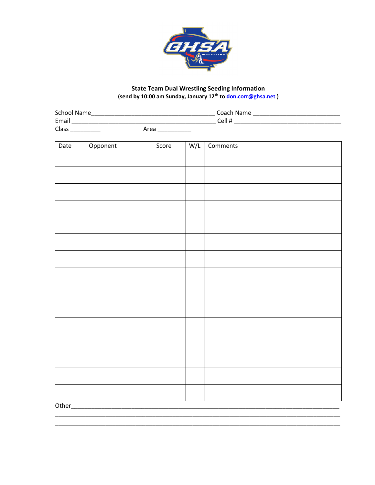

# State Team Dual Wrestling Seeding Information<br>(send by 10:00 am Sunday, January 12<sup>th</sup> to **don.corr@ghsa.net**)

| <b>School Name</b> |      | Coach Name |
|--------------------|------|------------|
| Email              |      | Cell #     |
| Class              | Area |            |

| Date   | Opponent | Score | W/L | Comments |  |  |
|--------|----------|-------|-----|----------|--|--|
|        |          |       |     |          |  |  |
|        |          |       |     |          |  |  |
|        |          |       |     |          |  |  |
|        |          |       |     |          |  |  |
|        |          |       |     |          |  |  |
|        |          |       |     |          |  |  |
|        |          |       |     |          |  |  |
|        |          |       |     |          |  |  |
|        |          |       |     |          |  |  |
|        |          |       |     |          |  |  |
|        |          |       |     |          |  |  |
|        |          |       |     |          |  |  |
|        |          |       |     |          |  |  |
|        |          |       |     |          |  |  |
|        |          |       |     |          |  |  |
|        |          |       |     |          |  |  |
| Other_ |          |       |     |          |  |  |